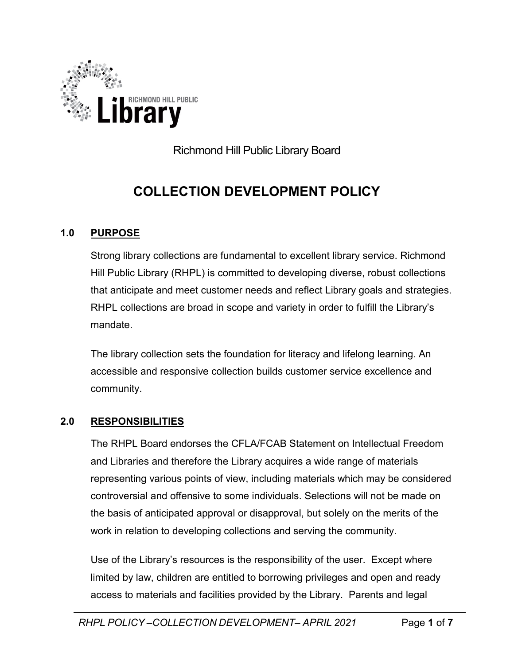

Richmond Hill Public Library Board

# **COLLECTION DEVELOPMENT POLICY**

## **1.0 PURPOSE**

Strong library collections are fundamental to excellent library service. Richmond Hill Public Library (RHPL) is committed to developing diverse, robust collections that anticipate and meet customer needs and reflect Library goals and strategies. RHPL collections are broad in scope and variety in order to fulfill the Library's mandate.

The library collection sets the foundation for literacy and lifelong learning. An accessible and responsive collection builds customer service excellence and community.

### **2.0 RESPONSIBILITIES**

The RHPL Board endorses the CFLA/FCAB Statement on Intellectual Freedom and Libraries and therefore the Library acquires a wide range of materials representing various points of view, including materials which may be considered controversial and offensive to some individuals. Selections will not be made on the basis of anticipated approval or disapproval, but solely on the merits of the work in relation to developing collections and serving the community.

Use of the Library's resources is the responsibility of the user. Except where limited by law, children are entitled to borrowing privileges and open and ready access to materials and facilities provided by the Library. Parents and legal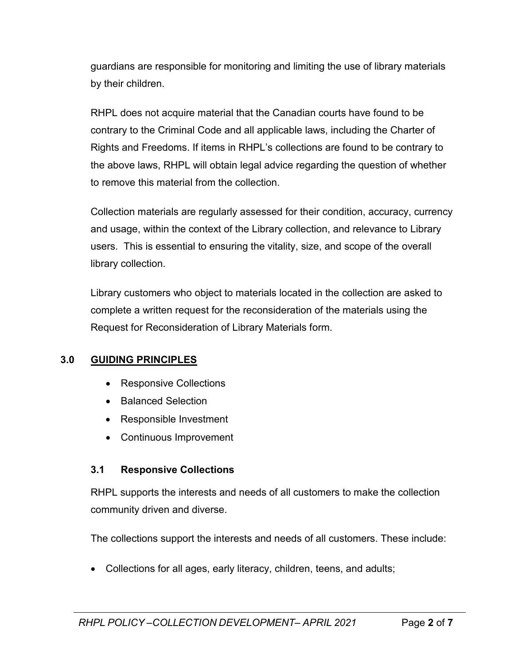guardians are responsible for monitoring and limiting the use of library materials by their children.

RHPL does not acquire material that the Canadian courts have found to be contrary to the Criminal Code and all applicable laws, including the Charter of Rights and Freedoms. If items in RHPL's collections are found to be contrary to the above laws, RHPL will obtain legal advice regarding the question of whether to remove this material from the collection.

Collection materials are regularly assessed for their condition, accuracy, currency and usage, within the context of the Library collection, and relevance to Library users. This is essential to ensuring the vitality, size, and scope of the overall library collection.

Library customers who object to materials located in the collection are asked to complete a written request for the reconsideration of the materials using the Request for Reconsideration of Library Materials form.

### **3.0 GUIDING PRINCIPLES**

- Responsive Collections
- Balanced Selection
- Responsible Investment
- Continuous Improvement

# **3.1 Responsive Collections**

RHPL supports the interests and needs of all customers to make the collection community driven and diverse.

The collections support the interests and needs of all customers. These include:

• Collections for all ages, early literacy, children, teens, and adults;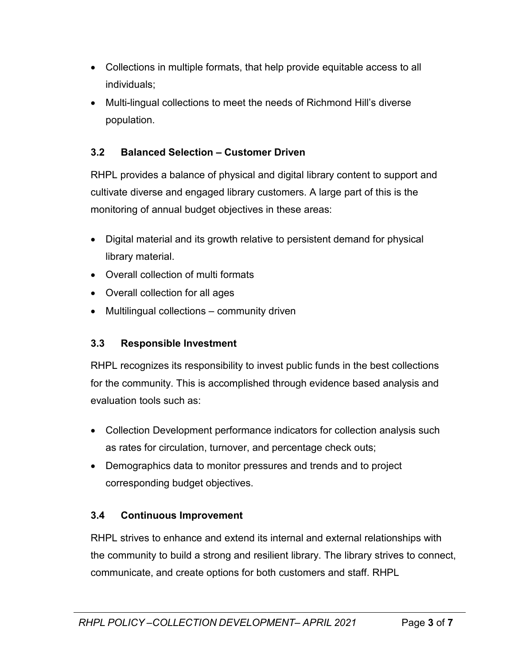- Collections in multiple formats, that help provide equitable access to all individuals;
- Multi-lingual collections to meet the needs of Richmond Hill's diverse population.

# **3.2 Balanced Selection – Customer Driven**

RHPL provides a balance of physical and digital library content to support and cultivate diverse and engaged library customers. A large part of this is the monitoring of annual budget objectives in these areas:

- Digital material and its growth relative to persistent demand for physical library material.
- Overall collection of multi formats
- Overall collection for all ages
- Multilingual collections community driven

### **3.3 Responsible Investment**

RHPL recognizes its responsibility to invest public funds in the best collections for the community. This is accomplished through evidence based analysis and evaluation tools such as:

- Collection Development performance indicators for collection analysis such as rates for circulation, turnover, and percentage check outs;
- Demographics data to monitor pressures and trends and to project corresponding budget objectives.

### **3.4 Continuous Improvement**

RHPL strives to enhance and extend its internal and external relationships with the community to build a strong and resilient library. The library strives to connect, communicate, and create options for both customers and staff. RHPL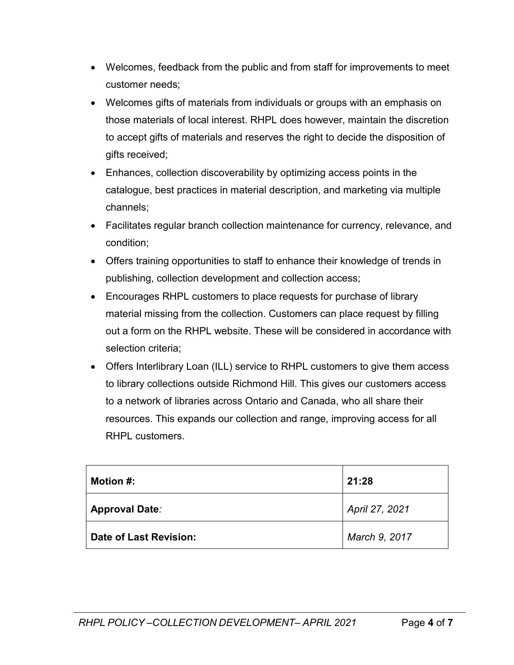- Welcomes, feedback from the public and from staff for improvements to meet customer needs;
- Welcomes gifts of materials from individuals or groups with an emphasis on those materials of local interest. RHPL does however, maintain the discretion to accept gifts of materials and reserves the right to decide the disposition of gifts received;
- Enhances, collection discoverability by optimizing access points in the catalogue, best practices in material description, and marketing via multiple channels;
- Facilitates regular branch collection maintenance for currency, relevance, and condition;
- Offers training opportunities to staff to enhance their knowledge of trends in publishing, collection development and collection access;
- Encourages RHPL customers to place requests for purchase of library material missing from the collection. Customers can place request by filling out a form on the RHPL website. These will be considered in accordance with selection criteria;
- Offers Interlibrary Loan (ILL) service to RHPL customers to give them access to library collections outside Richmond Hill. This gives our customers access to a network of libraries across Ontario and Canada, who all share their resources. This expands our collection and range, improving access for all RHPL customers.

| Motion #:              | 21:28          |
|------------------------|----------------|
| <b>Approval Date:</b>  | April 27, 2021 |
| Date of Last Revision: | March 9, 2017  |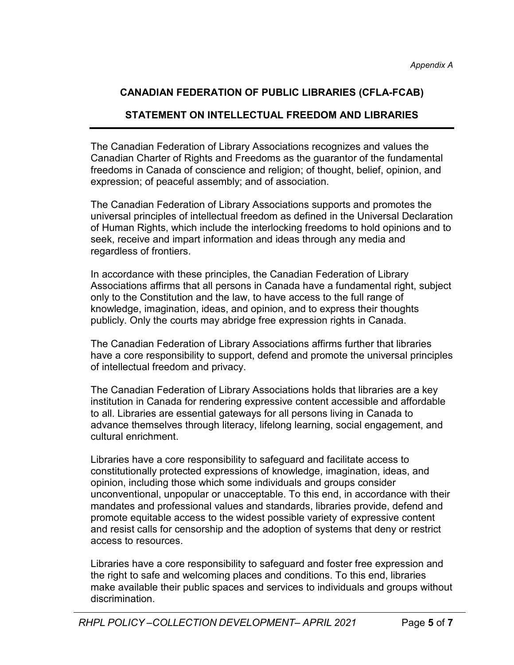## **CANADIAN FEDERATION OF PUBLIC LIBRARIES (CFLA-FCAB)**

#### **STATEMENT ON INTELLECTUAL FREEDOM AND LIBRARIES**

The Canadian Federation of Library Associations recognizes and values the Canadian Charter of Rights and Freedoms as the guarantor of the fundamental freedoms in Canada of conscience and religion; of thought, belief, opinion, and expression; of peaceful assembly; and of association.

The Canadian Federation of Library Associations supports and promotes the universal principles of intellectual freedom as defined in the Universal Declaration of Human Rights, which include the interlocking freedoms to hold opinions and to seek, receive and impart information and ideas through any media and regardless of frontiers.

In accordance with these principles, the Canadian Federation of Library Associations affirms that all persons in Canada have a fundamental right, subject only to the Constitution and the law, to have access to the full range of knowledge, imagination, ideas, and opinion, and to express their thoughts publicly. Only the courts may abridge free expression rights in Canada.

The Canadian Federation of Library Associations affirms further that libraries have a core responsibility to support, defend and promote the universal principles of intellectual freedom and privacy.

The Canadian Federation of Library Associations holds that libraries are a key institution in Canada for rendering expressive content accessible and affordable to all. Libraries are essential gateways for all persons living in Canada to advance themselves through literacy, lifelong learning, social engagement, and cultural enrichment.

Libraries have a core responsibility to safeguard and facilitate access to constitutionally protected expressions of knowledge, imagination, ideas, and opinion, including those which some individuals and groups consider unconventional, unpopular or unacceptable. To this end, in accordance with their mandates and professional values and standards, libraries provide, defend and promote equitable access to the widest possible variety of expressive content and resist calls for censorship and the adoption of systems that deny or restrict access to resources.

Libraries have a core responsibility to safeguard and foster free expression and the right to safe and welcoming places and conditions. To this end, libraries make available their public spaces and services to individuals and groups without discrimination.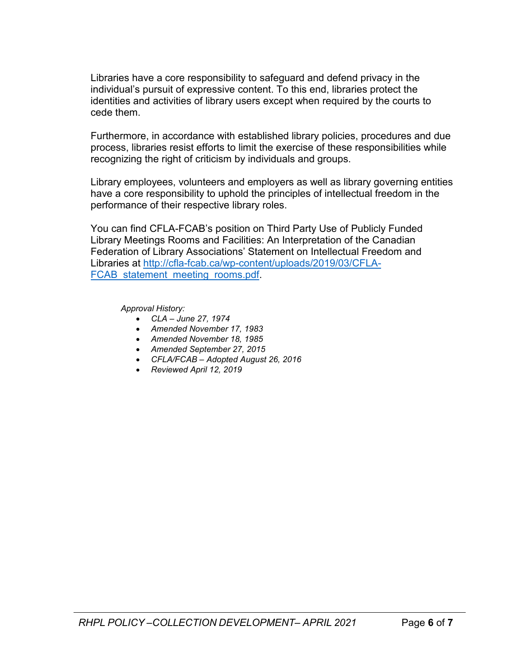Libraries have a core responsibility to safeguard and defend privacy in the individual's pursuit of expressive content. To this end, libraries protect the identities and activities of library users except when required by the courts to cede them.

Furthermore, in accordance with established library policies, procedures and due process, libraries resist efforts to limit the exercise of these responsibilities while recognizing the right of criticism by individuals and groups.

Library employees, volunteers and employers as well as library governing entities have a core responsibility to uphold the principles of intellectual freedom in the performance of their respective library roles.

You can find CFLA-FCAB's position on Third Party Use of Publicly Funded Library Meetings Rooms and Facilities: An Interpretation of the Canadian Federation of Library Associations' Statement on Intellectual Freedom and Libraries at [http://cfla-fcab.ca/wp-content/uploads/2019/03/CFLA-](http://cfla-fcab.ca/wp-content/uploads/2019/03/CFLA-FCAB_statement_meeting_rooms.pdf)FCAB statement meeting rooms.pdf.

*Approval History:*

- *CLA – June 27, 1974*
- *Amended November 17, 1983*
- *Amended November 18, 1985*
- *Amended September 27, 2015*
- *CFLA/FCAB – Adopted August 26, 2016*
- *Reviewed April 12, 2019*